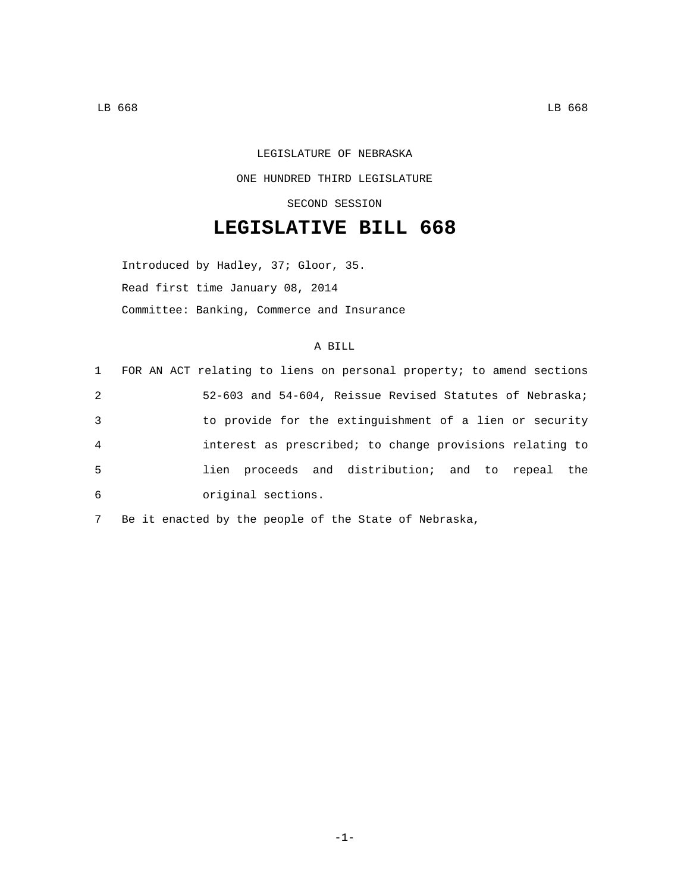## LEGISLATURE OF NEBRASKA ONE HUNDRED THIRD LEGISLATURE SECOND SESSION

## **LEGISLATIVE BILL 668**

Introduced by Hadley, 37; Gloor, 35. Read first time January 08, 2014 Committee: Banking, Commerce and Insurance

## A BILL

|                | 1 FOR AN ACT relating to liens on personal property; to amend sections |
|----------------|------------------------------------------------------------------------|
| 2              | 52-603 and 54-604, Reissue Revised Statutes of Nebraska;               |
| 3              | to provide for the extinguishment of a lien or security                |
| $\overline{4}$ | interest as prescribed; to change provisions relating to               |
| -5             | lien proceeds and distribution; and to repeal the                      |
| 6              | original sections.                                                     |

7 Be it enacted by the people of the State of Nebraska,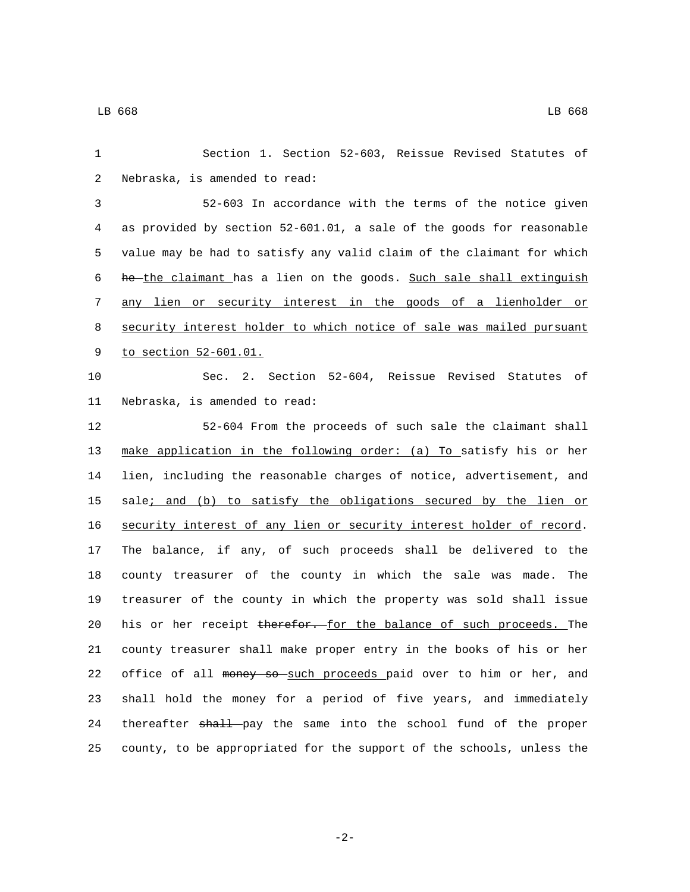| 1  | Section 1. Section 52-603, Reissue Revised Statutes of                |
|----|-----------------------------------------------------------------------|
| 2  | Nebraska, is amended to read:                                         |
| 3  | 52-603 In accordance with the terms of the notice given               |
| 4  | as provided by section 52-601.01, a sale of the goods for reasonable  |
| 5  | value may be had to satisfy any valid claim of the claimant for which |
| 6  | he-the claimant has a lien on the goods. Such sale shall extinguish   |
| 7  | any lien or security interest in the goods of a lienholder or         |
| 8  | security interest holder to which notice of sale was mailed pursuant  |
| 9  | to section 52-601.01.                                                 |
| 10 | Sec. 2. Section 52-604, Reissue Revised Statutes<br>of                |
| 11 | Nebraska, is amended to read:                                         |
| 12 | 52-604 From the proceeds of such sale the claimant shall              |
| 13 | make application in the following order: (a) To satisfy his or her    |
| 14 | lien, including the reasonable charges of notice, advertisement, and  |
| 15 | sale; and (b) to satisfy the obligations secured by the lien or       |
| 16 | security interest of any lien or security interest holder of record.  |
| 17 | The balance, if any, of such proceeds shall be delivered to the       |
| 18 | county treasurer of the county in which the sale was made. The        |
| 19 | treasurer of the county in which the property was sold shall issue    |
| 20 | his or her receipt therefor. for the balance of such proceeds. The    |
| 21 | county treasurer shall make proper entry in the books of his or her   |
| 22 | office of all money so such proceeds paid over to him or her, and     |
| 23 | shall hold the money for a period of five years, and immediately      |
| 24 | thereafter shall pay the same into the school fund of the proper      |
| 25 | county, to be appropriated for the support of the schools, unless the |

-2-